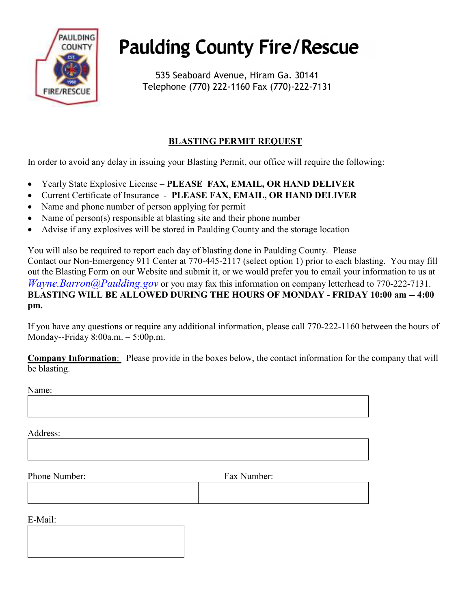

## **Paulding County Fire/Rescue**

535 Seaboard Avenue, Hiram Ga. 30141 Telephone (770) 222-1160 Fax (770)-222-7131

## **BLASTING PERMIT REQUEST**

In order to avoid any delay in issuing your Blasting Permit, our office will require the following:

- Yearly State Explosive License **PLEASE FAX, EMAIL, OR HAND DELIVER**
- Current Certificate of Insurance **PLEASE FAX, EMAIL, OR HAND DELIVER**
- Name and phone number of person applying for permit
- Name of person(s) responsible at blasting site and their phone number
- Advise if any explosives will be stored in Paulding County and the storage location

You will also be required to report each day of blasting done in Paulding County. Please Contact our Non-Emergency 911 Center at 770-445-2117 (select option 1) prior to each blasting. You may fill out the Blasting Form on our Website and submit it, or we would prefer you to email your information to us at *Wayne.Barron@Paulding.gov* or you may fax this information on company letterhead to 770-222-7131. **BLASTING WILL BE ALLOWED DURING THE HOURS OF MONDAY - FRIDAY 10:00 am -- 4:00 pm.** 

If you have any questions or require any additional information, please call 770-222-1160 between the hours of Monday--Friday 8:00a.m. – 5:00p.m.

**Company Information**: Please provide in the boxes below, the contact information for the company that will be blasting.

Name:

Address:

Phone Number: Fax Number:

E-Mail: